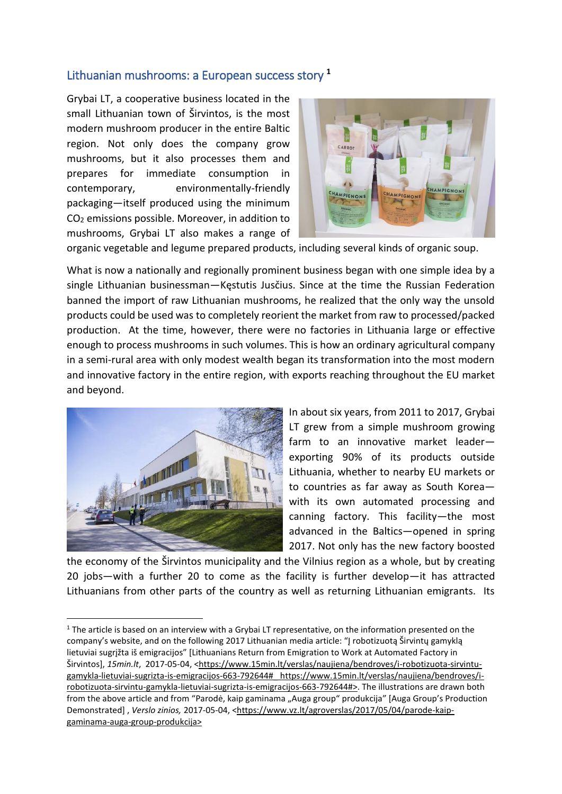## Lithuanian mushrooms: a European success story **<sup>1</sup>**

Grybai LT, a cooperative business located in the small Lithuanian town of Širvintos, is the most modern mushroom producer in the entire Baltic region. Not only does the company grow mushrooms, but it also processes them and prepares for immediate consumption in contemporary, environmentally-friendly packaging—itself produced using the minimum CO<sup>2</sup> emissions possible. Moreover, in addition to mushrooms, Grybai LT also makes a range of



organic vegetable and legume prepared products, including several kinds of organic soup.

What is now a nationally and regionally prominent business began with one simple idea by a single Lithuanian businessman—Kęstutis Jusčius. Since at the time the Russian Federation banned the import of raw Lithuanian mushrooms, he realized that the only way the unsold products could be used was to completely reorient the market from raw to processed/packed production. At the time, however, there were no factories in Lithuania large or effective enough to process mushrooms in such volumes. This is how an ordinary agricultural company in a semi-rural area with only modest wealth began its transformation into the most modern and innovative factory in the entire region, with exports reaching throughout the EU market and beyond.



**.** 

In about six years, from 2011 to 2017, Grybai LT grew from a simple mushroom growing farm to an innovative market leader exporting 90% of its products outside Lithuania, whether to nearby EU markets or to countries as far away as South Korea with its own automated processing and canning factory. This facility—the most advanced in the Baltics—opened in spring 2017. Not only has the new factory boosted

the economy of the Širvintos municipality and the Vilnius region as a whole, but by creating 20 jobs—with a further 20 to come as the facility is further develop—it has attracted Lithuanians from other parts of the country as well as returning Lithuanian emigrants. Its

 $1$  The article is based on an interview with a Grybai LT representative, on the information presented on the company's website, and on the following 2017 Lithuanian media article: "Į robotizuotą Širvintų gamyklą lietuviai sugrįžta iš emigracijos" [Lithuanians Return from Emigration to Work at Automated Factory in Širvintos], 15min.lt, 2017-05-04, <https://www.15min.lt/verslas/naujiena/bendroves/i-robotizuota-sirvintugamykla-lietuviai-sugrizta-is-emigracijos-663-792644#\_ https://www.15min.lt/verslas/naujiena/bendroves/irobotizuota-sirvintu-gamykla-lietuviai-sugrizta-is-emigracijos-663-792644#>. The illustrations are drawn both from the above article and from "Parodė, kaip gaminama "Auga group" produkcija" [Auga Group's Production Demonstrated], *Verslo zinios,* 2017-05-04, <https://www.vz.lt/agroverslas/2017/05/04/parode-kaipgaminama-auga-group-produkcija>